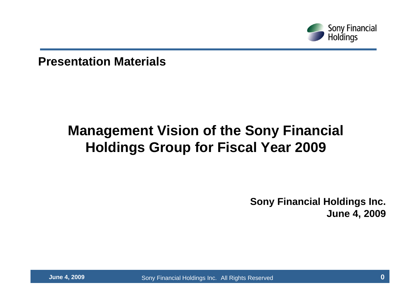

**Presentation Materials**

## **Management Vision of the Sony Financial Holdings Group for Fiscal Year 2009**

**Sony Financial Holdings Inc. June 4, 2009**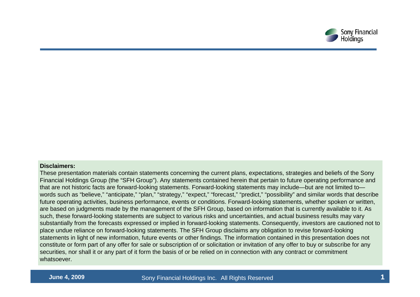

#### **Disclaimers:**

These presentation materials contain statements concerning the current plans, expectations, strategies and beliefs of the Sony Financial Holdings Group (the "SFH Group"). Any statements contained herein that pertain to future operating performance and that are not historic facts are forward-looking statements. Forward-looking statements may include—but are not limited to words such as "believe," "anticipate," "plan," "strategy," "expect," "forecast," "predict," "possibility" and similar words that describe future operating activities, business performance, events or conditions. Forward-looking statements, whether spoken or written, are based on judgments made by the management of the SFH Group, based on information that is currently available to it. As such, these forward-looking statements are subject to various risks and uncertainties, and actual business results may vary substantially from the forecasts expressed or implied in forward-looking statements. Consequently, investors are cautioned not to place undue reliance on forward-looking statements. The SFH Group disclaims any obligation to revise forward-looking statements in light of new information, future events or other findings. The information contained in this presentation does not constitute or form part of any offer for sale or subscription of or solicitation or invitation of any offer to buy or subscribe for any securities, nor shall it or any part of it form the basis of or be relied on in connection with any contract or commitment whatsoever.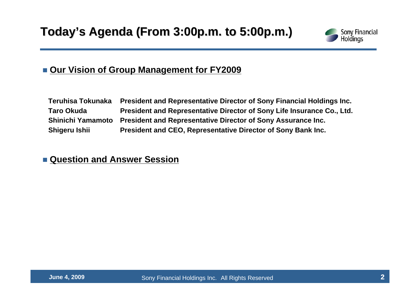

### **Our Vision of Group Management for FY2009**

| Teruhisa Tokunaka | President and Representative Director of Sony Financial Holdings Inc.          |
|-------------------|--------------------------------------------------------------------------------|
| <b>Taro Okuda</b> | President and Representative Director of Sony Life Insurance Co., Ltd.         |
|                   | Shinichi Yamamoto President and Representative Director of Sony Assurance Inc. |
| Shigeru Ishii     | President and CEO, Representative Director of Sony Bank Inc.                   |

### **Question and Answer Session**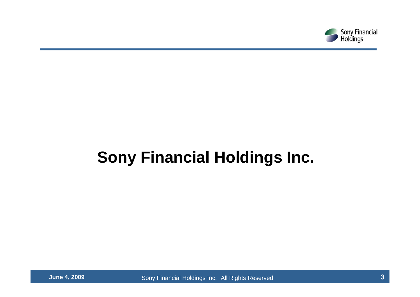

# **Sony Financial Holdings Inc.**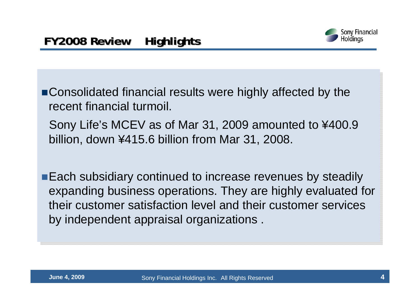

Consolidated financial results were highly affected by the Consolidated financial results were highly affected by the recent financial turmoil. recent financial turmoil.

Sony Life's MCEV as of Mar 31, 2009 amounted to ¥400.9 Sony Life's MCEV as of Mar 31, 2009 amounted to ¥400.9 billion, down ¥415.6 billion from Mar 31, 2008. billion, down ¥415.6 billion from Mar 31, 2008.

Each subsidiary continued to increase revenues by steadily Each subsidiary continued to increase revenues by steadily expanding business operations. They are highly evaluated for expanding business operations. They are highly evaluated for their customer satisfaction level and their customer services their customer satisfaction level and their customer services by independent appraisal organizations . by independent appraisal organizations .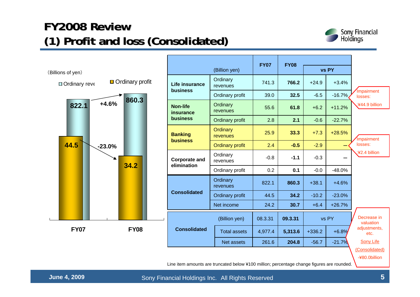### **FY2008 Review FY2008 Review (1) Profit and loss (Consolidated) (1) Profit and loss (Consolidated)**



|                                  |                                     |                             | <b>FY07</b> | <b>FY08</b> |          |          |                          |
|----------------------------------|-------------------------------------|-----------------------------|-------------|-------------|----------|----------|--------------------------|
| (Billions of yen)                |                                     | (Billion yen)               |             |             |          | vs PY    |                          |
| Ordinary profit<br>Ordinary reve | Life insurance<br><b>business</b>   | Ordinary<br>revenues        | 741.3       | 766.2       | $+24.9$  | $+3.4%$  |                          |
|                                  |                                     | Ordinary profit             | 39.0        | 32.5        | $-6.5$   | $-16.7%$ | Impairment<br>losses:    |
| 860.3<br>$+4.6%$<br>822.1        | <b>Non-life</b><br>insurance        | Ordinary<br>revenues        | 55.6        | 61.8        | $+6.2$   | $+11.2%$ | :¥44.9 billion           |
|                                  | business                            | Ordinary profit             | 2.8         | 2.1         | $-0.6$   | $-22.7%$ |                          |
|                                  | <b>Banking</b><br><b>business</b>   | Ordinary<br><b>revenues</b> | 25.9        | 33.3        | $+7.3$   | $+28.5%$ | mpairment                |
| 44.5<br>$-23.0%$                 |                                     | <b>Ordinary profit</b>      | 2.4         | $-0.5$      | $-2.9$   |          | losses:                  |
|                                  | <b>Corporate and</b><br>elimination | Ordinary<br>revenues        | $-0.8$      | $-1.1$      | $-0.3$   |          | :¥2.4 billion            |
| 34.2                             |                                     | Ordinary profit             | 0.2         | 0.1         | $-0.0$   | $-48.0%$ |                          |
|                                  |                                     | Ordinary<br>revenues        | 822.1       | 860.3       | $+38.1$  | $+4.6%$  |                          |
|                                  | <b>Consolidated</b>                 | Ordinary profit             | 44.5        | 34.2        | $-10.2$  | $-23.0%$ |                          |
|                                  |                                     | Net income                  | 24.2        | 30.7        | $+6.4$   | $+26.7%$ |                          |
|                                  |                                     | (Billion yen)               | 08.3.31     | 09.3.31     |          | vs PY    | Decrease in<br>valuation |
| <b>FY07</b><br><b>FY08</b>       | <b>Consolidated</b>                 | <b>Total assets</b>         | 4,977.4     | 5,313.6     | $+336.2$ | $+6.8%$  | adjustments,<br>etc.     |
|                                  |                                     | Net assets                  | 261.6       | 204.8       | $-56.7$  | $-21.7%$ | <b>Sony Life</b>         |
|                                  |                                     |                             |             |             |          |          | (Consolidated)           |

-¥80.0billion

Line item amounts are truncated below ¥100 million; percentage change figures are rounded.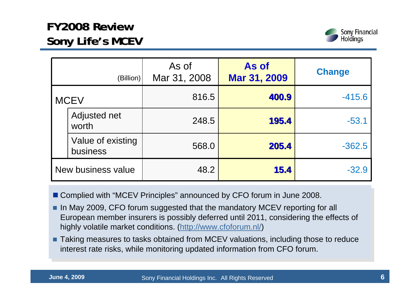### **FY2008 Review FY2008 Review Sony Life Sony Life's MCEV**



|             | (Billion)                     | As of<br>Mar 31, 2008 | As of<br>Mar 31, 2009 | <b>Change</b> |
|-------------|-------------------------------|-----------------------|-----------------------|---------------|
| <b>MCEV</b> |                               | 816.5                 | 400.9                 | $-415.6$      |
|             | Adjusted net<br>worth         | 248.5                 | 195.4                 | $-53.1$       |
|             | Value of existing<br>business | 568.0                 | 205.4                 | $-362.5$      |
|             | New business value            | 48.2                  | 15.4                  | $-32.9$       |

- Complied with "MCEV Principles" announced by CFO forum in June 2008. Complied with "MCEV Principles" announced by CFO forum in June 2008.
- In May 2009, CFO forum suggested that the mandatory MCEV reporting for all European member insurers is possibly deferred until 2011, considering the effects of European member insurers is possibly deferred until 2011, considering the effects of highly volatile market conditions. (http://www.cfoforum.nl/) highly volatile market conditions. (http://www.cfoforum.nl/)
- Taking measures to tasks obtained from MCEV valuations, including those to reduce interest rate risks, while monitoring updated information from CFO forum. interest rate risks, while monitoring updated information from CFO forum.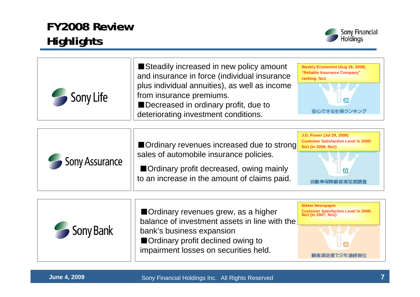### **FY2008 Review FY2008 Review Highlights Highlights**



| Sony Life             | Steadily increased in new policy amount<br>and insurance in force (individual insurance<br>plus individual annuities), as well as income<br>from insurance premiums.<br>Decreased in ordinary profit, due to<br>deteriorating investment conditions. | <b>Weekly Economist (Aug 26, 2008)</b><br>"Reliable Insurance Company"<br>ranking: No1<br>安心できる生保ランキング                |
|-----------------------|------------------------------------------------------------------------------------------------------------------------------------------------------------------------------------------------------------------------------------------------------|-----------------------------------------------------------------------------------------------------------------------|
| <b>Sony Assurance</b> | Ordinary revenues increased due to strong:<br>sales of automobile insurance policies.<br>Ordinary profit decreased, owing mainly<br>to an increase in the amount of claims paid.                                                                     | <b>J.D. Power (Jul 29, 2008)</b><br><b>Customer Satisfaction Level in 2009:</b><br>No1 (in 2008: No1)<br>自動車保険顧客満足度調査 |

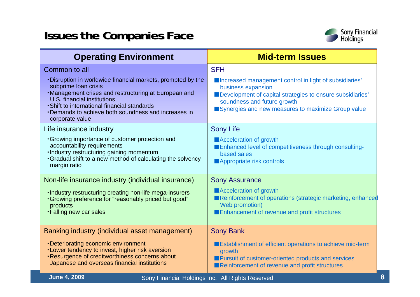### **Issues the Companies Face**



| <b>Operating Environment</b>                                                                                                                                                                                                                                                                         | <b>Mid-term Issues</b>                                                                                                                                                                                                         |
|------------------------------------------------------------------------------------------------------------------------------------------------------------------------------------------------------------------------------------------------------------------------------------------------------|--------------------------------------------------------------------------------------------------------------------------------------------------------------------------------------------------------------------------------|
| Common to all                                                                                                                                                                                                                                                                                        | <b>SFH</b>                                                                                                                                                                                                                     |
| . Disruption in worldwide financial markets, prompted by the<br>subprime loan crisis<br>·Management crises and restructuring at European and<br>U.S. financial institutions<br>· Shift to international financial standards<br>Demands to achieve both soundness and increases in<br>corporate value | Increased management control in light of subsidiaries'<br>business expansion<br>Development of capital strategies to ensure subsidiaries'<br>soundness and future growth<br>Synergies and new measures to maximize Group value |
| Life insurance industry                                                                                                                                                                                                                                                                              | <b>Sony Life</b>                                                                                                                                                                                                               |
| · Growing importance of customer protection and<br>accountability requirements<br>· Industry restructuring gaining momentum<br>. Gradual shift to a new method of calculating the solvency<br>margin ratio                                                                                           | Acceleration of growth<br>Enhanced level of competitiveness through consulting-<br>based sales<br>Appropriate risk controls                                                                                                    |
| Non-life insurance industry (individual insurance)                                                                                                                                                                                                                                                   | <b>Sony Assurance</b>                                                                                                                                                                                                          |
| . Industry restructuring creating non-life mega-insurers<br>. Growing preference for "reasonably priced but good"<br>products<br>. Falling new car sales                                                                                                                                             | Acceleration of growth<br>Reinforcement of operations (strategic marketing, enhanced<br>Web promotion)<br>Enhancement of revenue and profit structures                                                                         |
| Banking industry (individual asset management)                                                                                                                                                                                                                                                       | <b>Sony Bank</b>                                                                                                                                                                                                               |
| •Deteriorating economic environment<br>. Lower tendency to invest, higher risk aversion<br>. Resurgence of creditworthiness concerns about<br>Japanese and overseas financial institutions                                                                                                           | Establishment of efficient operations to achieve mid-term<br>growth<br>Pursuit of customer-oriented products and services<br>Reinforcement of revenue and profit structures                                                    |
| <b>June 4, 2009</b>                                                                                                                                                                                                                                                                                  | Sony Financial Holdings Inc. All Rights Reserved                                                                                                                                                                               |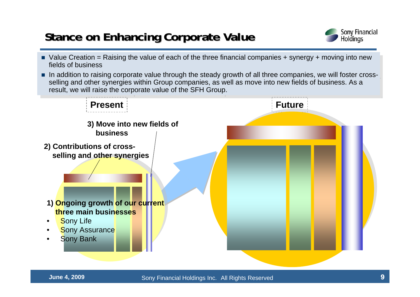### **Stance on Enhancing Corporate Value**



- Value Creation = Raising the value of each of the three financial companies + synergy + moving into new fields of business
- In addition to raising corporate value through the steady growth of all three companies, we will foster cross-<br>  $\blacksquare$ selling and other synergies within Group companies, as well as move into new fields of business. As a selling and other synergies within Group companies, as well as move into new fields of business. As a result, we will raise the corporate value of the SFH Group. result, we will raise the corporate value of the SFH Group.

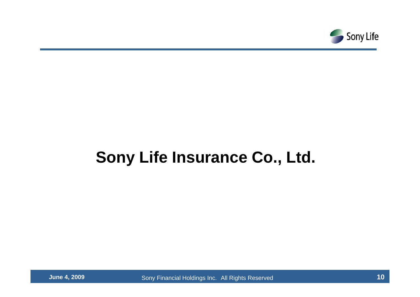

# **Sony Life Insurance Co., Ltd.**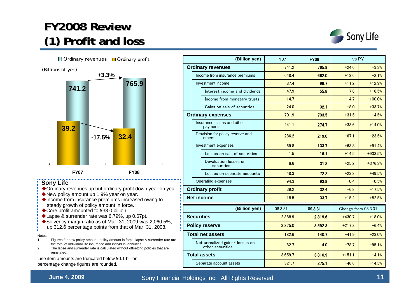### **FY2008 Review FY2008 Review(1) Profit and loss (1) Profit and loss**



 $32.1$  +8.0 +33.7%

 $55.8$  +7.8 +16.5%

98.7  $+11.2$   $+12.9%$ 



| Provision for policy reserve and<br>others          | 286.2   | 219.0   | $-67.1$             | $-23.5%$  |
|-----------------------------------------------------|---------|---------|---------------------|-----------|
| Investment expenses                                 | 69.8    | 133.7   | $+63.8$             | $+91.4%$  |
| Losses on sale of securities                        | 1.5     | 16.1    | $+14.5$             | $+933.5%$ |
| Devaluation losses on<br>securities                 | 6.6     | 31.8    | $+25.2$             | $+376.3%$ |
| Losses on separate accounts                         | 48.3    | 72.2    | $+23.8$             | $+49.5%$  |
| Operating expenses                                  | 94.3    | 93.9    | $-0.4$              | $-0.5%$   |
| <b>Ordinary profit</b>                              | 39.2    | 32.4    | $-6.8$              | $-17.5%$  |
| <b>Net income</b>                                   | 18.5    | 33.7    | $+15.2$             | $+82.5%$  |
|                                                     |         |         |                     |           |
| (Billion yen)                                       | 08.3.31 | 09.3.31 | Change from 08.3.31 |           |
| <b>Securities</b>                                   | 2,388.9 | 2,819.6 | $+430.7$            | $+18.0%$  |
| <b>Policy reserve</b>                               | 3,375.0 | 3,592.3 | $+217.2$            | $+6.4%$   |
| <b>Total net assets</b>                             | 182.6   | 140.7   | $-41.9$             | $-23.0%$  |
| Net unrealized gains/ losses on<br>other securities | 82.7    | 4.0     | $-78.7$             | $-95.1%$  |
| <b>Total assets</b>                                 | 3,659.7 | 3,810.9 | $+151.1$            | $+4.1%$   |

241.1Insurance claims and other  $\begin{array}{|c|c|c|c|c|c|c|c|}\n\hline\n\text{payments} & & & 241.1 & & 274.7 & +33.6 & +14.0\% \\
\hline\n\end{array}$ 

 $24.0$ 

47.9

87.4

**(Billion yen)** FY07 **FY08** vs PY

Income from insurance premiums 648.4 662.0 +13.6 +2.1% **Ordinary revenues 1** 11.2 **741.2 765.9** +24.6 +3.3%

Income from monetary trusts  $\begin{vmatrix} 14.7 & -14.7 & -14.7 \end{vmatrix}$  -100.0%

**Ordinary expenses** 701.9 733.5 +31.5 +4.5%

Gains on sale of securities

Interest income and dividends

Investment income

Notes:

- 1. Figures for new policy amount, policy amount in force, lapse & surrender rate are the total of individual life insurance and individual annuities.
- 2. The lapse and surrender rate is calculated without offsetting policies that are reinstated.

Line item amounts are truncated below ¥0.1 billion; percentage change figures are rounded.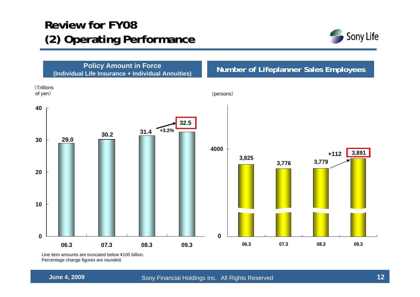### **Review for FY08 Review for FY08 (2) Operating Performance**





Line item amounts are truncated below ¥100 billion. Percentage change figures are rounded.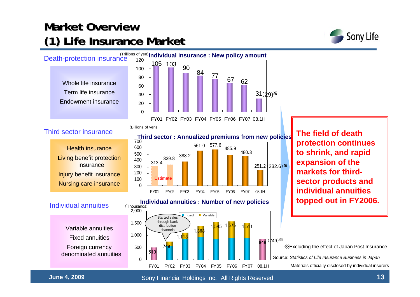### **Market Overview Market Overview(1) Life Insurance Market Insurance Market**



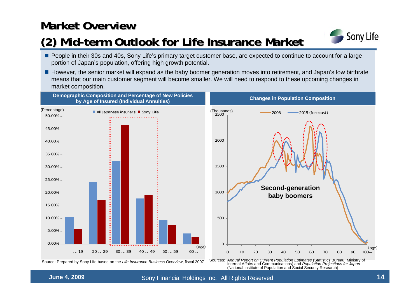### **Market Overview Market Overview**

### **(2) Mid-term Outlook for Life Insurance Market Outlook for Life Insurance Market**



- **People in their 30s and 40s, Sony Life's primary target customer base, are expected to continue to account for a large** portion of Japan's population, offering high growth potential.
- However, the senior market will expand as the baby boomer generation moves into retirement, and Japan's low birthrate means that our main customer segment will become smaller. We will need to respond to these upcoming changes in market composition.

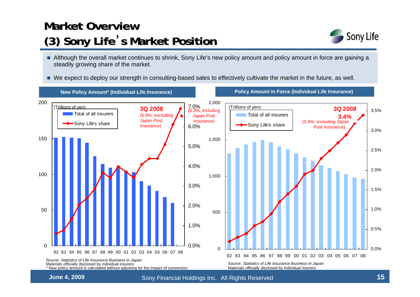## **Market Overview Market Overview(3) Sony Life (3) Sony Life**'**s Market Position s Market Position**



- Although the overall market continues to shrink, Sony Life's new policy amount and policy amount in force are gaining a steadily growing share of the market.
- We expect to deploy our strength in consulting-based sales to effectively cultivate the market in the future, as well.

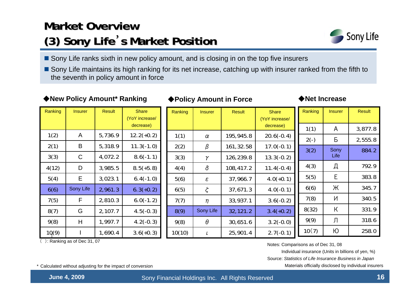## **Market Overview Market Overview(3) Sony Life ) Sony Life**'**s Market Position s Market Position**



- Sony Life ranks sixth in new policy amount, and is closing in on the top five insurers
- Sony Life maintains its high ranking for its net increase, catching up with insurer ranked from the fifth to the seventh in policy amount in force

### ◆**New Policy Amount\* Ranking → ◆Policy Amount in Force → ◆Net Increase**

### ◆**Policy Amount in Force**

Ranking | Insurer | Result

| Ranking | <b>Insurer</b> | <b>Result</b> | <b>Share</b><br>(YoY increase/<br>decrease) | Ranking | <b>Insurer</b> | <b>Result</b> | <b>Share</b><br>(YoY incre<br>decreas |
|---------|----------------|---------------|---------------------------------------------|---------|----------------|---------------|---------------------------------------|
| 1(2)    | A              | 5,736.9       | $12.2(+0.2)$                                | 1(1)    | $\alpha$       | 195,945.8     | $20.6(-)$                             |
| 2(1)    | B              | 5,318.9       | $11.3(-1.0)$                                | 2(2)    | β              | 161,32.58     | $17.0(-$                              |
| 3(3)    | C              | 4,072.2       | $8.6(-1.1)$                                 | 3(3)    | γ              | 126,239.8     | $13.3(-$                              |
| 4(12)   | D              | 3,985.5       | $8.5(+5.8)$                                 | 4(4)    | δ              | 108,417.2     | $11.4(-$                              |
| 5(4)    | E              | 3,023.1       | $6.4(-1.0)$                                 | 5(6)    | $\varepsilon$  | 37,966.7      | $4.0(+)$                              |
| 6(6)    | Sony Life      | 2,961.3       | $6.3(+0.2)$                                 | 6(5)    | ζ              | 37,671.3      | $4.0(-$                               |
| 7(5)    | F              | 2,810.3       | $6.0(-1.2)$                                 | 7(7)    | $\eta$         | 33,937.1      | $3.6(-$                               |
| 8(7)    | G              | 2,107.7       | $4.5(-0.3)$                                 | 8(9)    | Sony Life      | 32,121.2      | $3.4(+)$                              |
| 9(8)    | H              | 1,997.7       | $4.2(-0.3)$                                 | 9(8)    | θ              | 30,651.6      | $3.2(-$                               |
| 10(9)   |                | 1,690.4       | $3.6(+0.3)$                                 | 10(10)  | ι              | 25,901.4      | $2.7(-$                               |

|        |                            |           | decrease)                           | 1(1)   | A    | 3,877.8 |
|--------|----------------------------|-----------|-------------------------------------|--------|------|---------|
| 1(1)   | $\alpha$                   | 195,945.8 | $20.6(-0.4)$                        | $2(-)$ | Б    | 2,555.8 |
| 2(2)   | β                          | 161,32.58 | $17.0(-0.1)$                        | 3(2)   | Sony | 884.2   |
| 3(3)   | γ                          | 126,239.8 | $13.3(-0.2)$                        |        | Life |         |
| 4(4)   | δ                          | 108,417.2 | $11.4(-0.4)$                        | 4(3)   | Д    | 792.9   |
| 5(6)   | $\boldsymbol{\varepsilon}$ | 37,966.7  | $4.0(+0.1)$                         | 5(5)   | E    | 383.8   |
| 6(5)   | $\zeta$                    | 37,671.3  | $4.0(-0.1)$                         | 6(6)   | Ж    | 345.7   |
| 7(7)   | $\eta$                     | 33,937.1  | $3.6(-0.2)$                         | 7(8)   | N    | 340.5   |
| 8(9)   | Sony Life                  | 32,121.2  | $3.4(+0.2)$                         | 8(32)  | К    | 331.9   |
| 9(8)   | $\theta$                   | 30,651.6  | $3.2(-0.0)$                         | 9(9)   | Л    | 318.6   |
| 10(10) | ι                          | 25,901.4  | $2.7(-0.1)$                         | 10(7)  | Ю    | 258.0   |
|        |                            |           | Notco: Comparisone as of Dao 24, 08 |        |      |         |

(YoY increase/

( ): Ranking as of Dec 31, 07

Notes: Comparisons as of Dec 31, 08

Individual insurance (Units in billions of yen, %)

Source: *Statistics of Life Insurance Business in Japan*

\* Calculated without adjusting for the impact of conversion Materials officially disclosed by individual insurers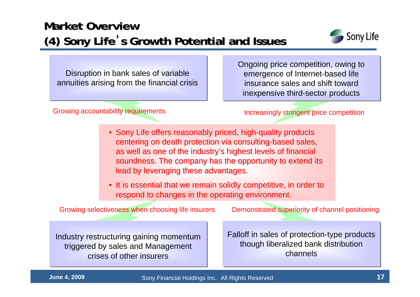### **Market Overview Market Overview(4) Sony Life (4) Sony Life**'**s Growth Potential and Potential and Issues**



Disruption in bank sales of variable annuities arising from the financial crisis

Growing accountability requirements **Increasingly stringent price competition** 

Ongoing price competition, owing to emergence of Internet-based life insurance sales and shift toward inexpensive third-sector products

- Sony Life offers reasonably priced, high-quality products centering on death protection via consulting-based sales, as well as one of the industry's highest levels of financial soundness. The company has the opportunity to extend its lead by leveraging these advantages.
- It is essential that we remain solidly competitive, in order to respond to changes in the operating environment.

Growing selectiveness when choosing life insurers Demonstrated superiority of channel positioning

Industry restructuring gaining momentum triggered by sales and Management crises of other insurers

Falloff in sales of protection-type products though liberalized bank distribution channels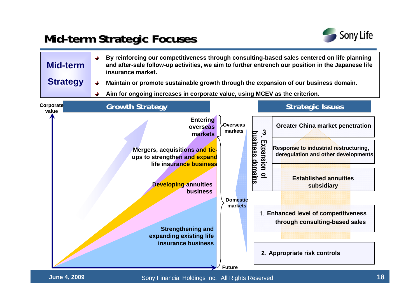### **Mid-term Strategic Focuses erm Strategic Focuses**



| <b>Mid-term</b><br><b>Strategy</b> | insurance market.<br>Maintain or promote sustainable growth through the expansion of our business domain.<br>→<br>Aim for ongoing increases in corporate value, using MCEV as the criterion.                                                         |                                                                    | By reinforcing our competitiveness through consulting-based sales centered on life planning<br>and after-sale follow-up activities, we aim to further entrench our position in the Japanese life                                                                                                                                                                  |
|------------------------------------|------------------------------------------------------------------------------------------------------------------------------------------------------------------------------------------------------------------------------------------------------|--------------------------------------------------------------------|-------------------------------------------------------------------------------------------------------------------------------------------------------------------------------------------------------------------------------------------------------------------------------------------------------------------------------------------------------------------|
| Corporate<br>value                 | <b>Growth Strategy</b>                                                                                                                                                                                                                               |                                                                    | <b>Strategic Issues</b>                                                                                                                                                                                                                                                                                                                                           |
|                                    | Entering<br>overseas<br>markets<br>Mergers, acquisitions and tie-<br>ups to strengthen and expand<br>life insurance business<br><b>Developing annuities</b><br>business<br><b>Strengthening and</b><br>expanding existing life<br>insurance business | Overseas<br>markets<br><b>Domestic</b><br>markets<br><b>Future</b> | <b>Greater China market penetration</b><br>$\cdot$ <sup>3</sup><br>business domains<br>Expansion<br><b>Response to industrial restructuring,</b><br>deregulation and other developments<br>$\overline{a}$<br><b>Established annuities</b><br>subsidiary<br>1. Enhanced level of competitiveness<br>through consulting-based sales<br>2. Appropriate risk controls |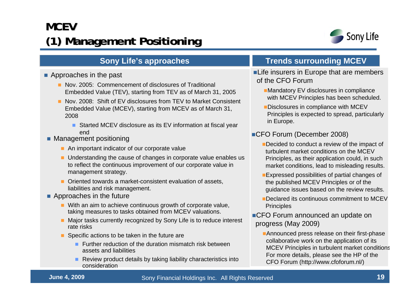## **MCEV(1) Management Management Positioning Positioning**



- **Approaches in the past** 
	- **Nov. 2005: Commencement of disclosures of Traditional** Embedded Value (TEV), starting from TEV as of March 31, 2005
	- Nov. 2008: Shift of EV disclosures from TEV to Market Consistent Embedded Value (MCEV), starting from MCEV as of March 31, 2008
		- Started MCEV disclosure as its EV information at fiscal year end
- **Management positioning** 
	- An important indicator of our corporate value
	- **Understanding the cause of changes in corporate value enables us** to reflect the continuous improvement of our corporate value in management strategy.
	- Oriented towards a market-consistent evaluation of assets, liabilities and risk management.
- **Approaches in the future** 
	- With an aim to achieve continuous growth of corporate value, taking measures to tasks obtained from MCEV valuations.
	- Major tasks currently recognized by Sony Life is to reduce interest rate risks
	- Specific actions to be taken in the future are
		- **Further reduction of the duration mismatch risk between** assets and liabilities
		- **Review product details by taking liability characteristics into** consideration

### **Sony Life's approaches <b>Trends surrounding MCEV**

- **Life insurers in Europe that are members** of the CFO Forum
	- **Mandatory EV disclosures in compliance** with MCEV Principles has been scheduled.
	- **Disclosures in compliance with MCEV** Principles is expected to spread, particularly in Europe.
- ■CFO Forum (December 2008)
	- Decided to conduct a review of the impact of turbulent market conditions on the MCEV Principles, as their application could, in such market conditions, lead to misleading results.
	- **Expressed possibilities of partial changes of** the published MCEV Principles or of the guidance issues based on the review results.
	- Declared its continuous commitment to MCEV **Principles**
- ■CFO Forum announced an update on progress (May 2009)
	- **Announced press release on their first-phase** collaborative work on the application of its MCEV Principles in turbulent market condition s For more details, please see the HP of the CFO Forum (http://www.cfoforum.nl/)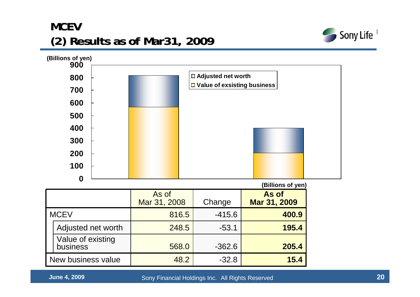### **MCEV (2) Results as of Mar31, 2009 (2) Results as of Mar31, 2009**





|                    |                               |                       |          | ווסע וט פווטוווטן,    |
|--------------------|-------------------------------|-----------------------|----------|-----------------------|
|                    |                               | As of<br>Mar 31, 2008 | Change   | As of<br>Mar 31, 2009 |
| <b>MCEV</b>        |                               | 816.5                 | $-415.6$ | 400.9                 |
|                    | Adjusted net worth            | 248.5                 | $-53.1$  | 195.4                 |
|                    | Value of existing<br>business | 568.0                 | $-362.6$ | 205.4                 |
| New business value |                               | 48.2                  | $-32.8$  | 15.4                  |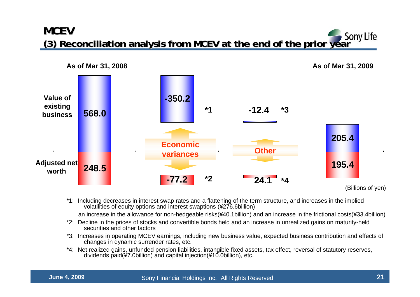### **MCEV (3) Reconciliation analysis from MCEV at the end of the prior year** Sony Life



\*1: Including decreases in interest swap rates and a flattening of the term structure, and increases in the implied volatilities of equity options and interest swaptions (¥276.6billion)

an increase in the allowance for non-hedgeable risks(¥40.1billion) and an increase in the frictional costs(¥33.4billion)

- \*2: Decline in the prices of stocks and convertible bonds held and an increase in unrealized gains on maturity-held securities and other factors
- \*3: Increases in operating MCEV earnings, including new business value, expected business contribution and effects of changes in dynamic surrender rates, etc.
- \*4: Net realized gains, unfunded pension liabilities, intangible fixed assets, tax effect, reversal of statutory reserves, dividends paid(¥7.0billion) and capital injection(¥10.0billion), etc.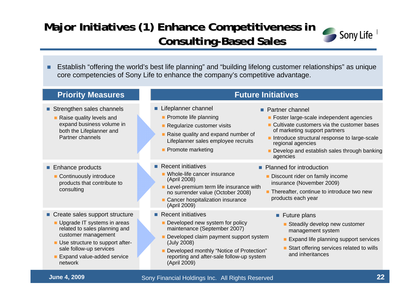### Major Initiatives (1) Enhance Competitiveness in **Consulting-Based Sales**



٠ Establish "offering the world's best life planning" and "building lifelong customer relationships" as unique core competencies of Sony Life to enhance the company's competitive advantage.

| <b>Priority Measures</b>                                                                                                                                                                                                     | <b>Future Initiatives</b>                                                                                                                                                                                                                                                                                                                                                                                                                                            |
|------------------------------------------------------------------------------------------------------------------------------------------------------------------------------------------------------------------------------|----------------------------------------------------------------------------------------------------------------------------------------------------------------------------------------------------------------------------------------------------------------------------------------------------------------------------------------------------------------------------------------------------------------------------------------------------------------------|
| Strengthen sales channels<br>Raise quality levels and<br>expand business volume in<br>both the Lifeplanner and<br>Partner channels                                                                                           | Lifeplanner channel<br>• Partner channel<br>Promote life planning<br>• Foster large-scale independent agencies<br>• Cultivate customers via the customer bases<br>Regularize customer visits<br>of marketing support partners<br>Raise quality and expand number of<br>Introduce structural response to large-scale<br>Lifeplanner sales employee recruits<br>regional agencies<br>• Promote marketing<br>Develop and establish sales through banking<br>agencies    |
| ■ Enhance products<br>Continuously introduce<br>products that contribute to<br>consulting                                                                                                                                    | $\blacksquare$ Recent initiatives<br>• Planned for introduction<br>• Whole-life cancer insurance<br>Discount rider on family income<br>(April 2008)<br>insurance (November 2009)<br>Level-premium term life insurance with<br><b>Thereafter, continue to introduce two new</b><br>no surrender value (October 2008)<br>products each year<br>• Cancer hospitalization insurance<br>(April 2009)                                                                      |
| Create sales support structure<br>Upgrade IT systems in areas<br>related to sales planning and<br>customer management<br>Use structure to support after-<br>sale follow-up services<br>Expand value-added service<br>network | $\blacksquare$ Recent initiatives<br>$\blacksquare$ Future plans<br>Developed new system for policy<br>Steadily develop new customer<br>maintenance (September 2007)<br>management system<br>Developed claim payment support system<br>Expand life planning support services<br>(July 2008)<br>Start offering services related to wills<br>Developed monthly "Notice of Protection"<br>and inheritances<br>reporting and after-sale follow-up system<br>(April 2009) |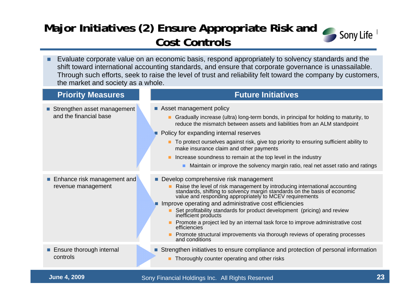### Major Initiatives (2) Ensure Appropriate Risk and **Cost Controls Cost Controls**



 Evaluate corporate value on an economic basis, respond appropriately to solvency standards and the shift toward international accounting standards, and ensure that corporate governance is unassailable. Through such efforts, seek to raise the level of trust and reliability felt toward the company by customers, the market and society as a whole.

| <b>Priority Measures</b>                              | <b>Future Initiatives</b>                                                                                                                                                                                                                                                                                                                                                                                                                                                                                                                                                                                              |
|-------------------------------------------------------|------------------------------------------------------------------------------------------------------------------------------------------------------------------------------------------------------------------------------------------------------------------------------------------------------------------------------------------------------------------------------------------------------------------------------------------------------------------------------------------------------------------------------------------------------------------------------------------------------------------------|
| Strengthen asset management<br>and the financial base | Asset management policy<br>Gradually increase (ultra) long-term bonds, in principal for holding to maturity, to<br>reduce the mismatch between assets and liabilities from an ALM standpoint<br>• Policy for expanding internal reserves<br>To protect ourselves against risk, give top priority to ensuring sufficient ability to<br>make insurance claim and other payments<br>Increase soundness to remain at the top level in the industry<br>Maintain or improve the solvency margin ratio, real net asset ratio and ratings                                                                                      |
| Enhance risk management and<br>revenue management     | Develop comprehensive risk management<br>Raise the level of risk management by introducing international accounting standards, shifting to solvency margin standards on the basis of economic value and responding appropriately to MCEV requirements<br>Improve operating and administrative cost efficiencies<br>Set profitability standards for product development (pricing) and review<br>inefficient products<br>Promote a project led by an internal task force to improve administrative cost<br>efficiencies<br>Promote structural improvements via thorough reviews of operating processes<br>and conditions |
| ■ Ensure thorough internal<br>controls                | Strengthen initiatives to ensure compliance and protection of personal information<br>Thoroughly counter operating and other risks                                                                                                                                                                                                                                                                                                                                                                                                                                                                                     |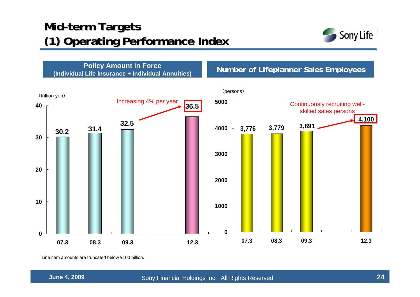### **Mid-term Targets (1) Operating Performance Index**



**Policy Amount in Force (Individual Life Insurance + Individual Annuities) Number of Lifeplanner Sales Employees** 



Line item amounts are truncated below ¥100 billion.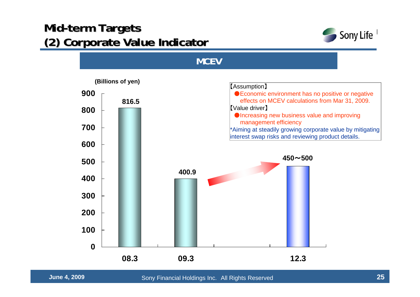### **Mid-term Targets (2) Corporate Value Corporate Value Indicator Indicator**



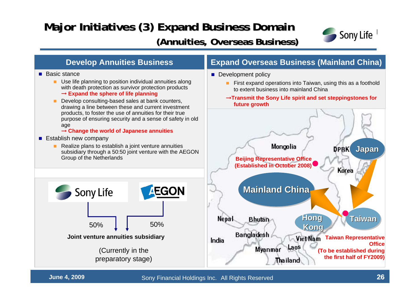## **Major Initiatives (3) Expand Business Domain**

### **(Annuities, Overseas Business) (Annuities, Overseas Business)**



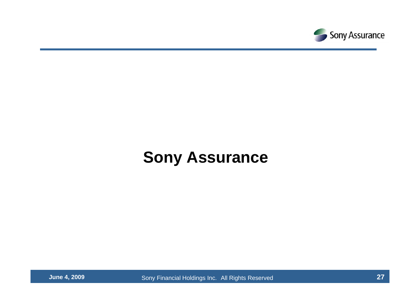

# **Sony Assurance**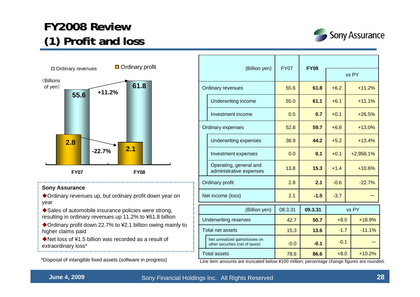### **FY2008 Review FY2008 Review (1) Profit and loss (1) Profit and loss**





#### **Sony Assurance**

Ordinary revenues up, but ordinary profit down year on year

...................................

◆ Sales of automobile insurance policies were strong, resulting in ordinary revenues up 11.2% to ¥61.8 billion

◆ Ordinary profit down 22.7% to ¥2.1 billion owing mainly to higher claims paid

◆Net loss of ¥1.5 billion was recorded as a result of extraordinary loss\*

\*Disposal of intangible fixed assets (software in progress)

| (Billion yen)                |                                                                   | <b>FY07</b> | <b>FY08</b> |        |             |  |
|------------------------------|-------------------------------------------------------------------|-------------|-------------|--------|-------------|--|
|                              |                                                                   |             |             | vs PY  |             |  |
| <b>Ordinary revenues</b>     |                                                                   | 55.6        | 61.8        | $+6.2$ | $+11.2%$    |  |
|                              | Underwriting income                                               | 55.0        | 61.1        | $+6.1$ | $+11.1%$    |  |
|                              | Investment income                                                 | 0.5         | 0.7         | $+0.1$ | $+26.5%$    |  |
| Ordinary expenses            |                                                                   | 52.8        | 59.7        | $+6.8$ | $+13.0%$    |  |
|                              | <b>Underwriting expenses</b>                                      | 38.9        | 44.2        | $+5.2$ | $+13.4%$    |  |
|                              | Investment expenses                                               | 0.0         | 0.1         | $+0.1$ | $+2,958.1%$ |  |
|                              | Operating, general and<br>administrative expenses                 | 13.8        | 15.3        | $+1.4$ | $+10.6%$    |  |
| Ordinary profit              |                                                                   | 2.8         | 2.1         | $-0.6$ | $-22.7%$    |  |
| Net income (loss)            |                                                                   | 2.1         | $-1.5$      | $-3.7$ |             |  |
| (Billion yen)                |                                                                   | 08.3.31     | 09.3.31     |        | vs PY       |  |
| <b>Underwriting reserves</b> |                                                                   | 42.7        | 50.7        | $+8.0$ | $+18.9%$    |  |
| Total net assets             |                                                                   | 15.3        | 13.6        | $-1.7$ | $-11.1%$    |  |
|                              | Net unrealized gains/losses on<br>other securities (net of taxes) | $-0.0$      | $-0.1$      | $-0.1$ |             |  |
| <b>Total assets</b>          |                                                                   | 78.6        | 86.6        | $+8.0$ | $+10.2%$    |  |

Line item amounts are truncated below ¥100 million; percentage change figures are rounded.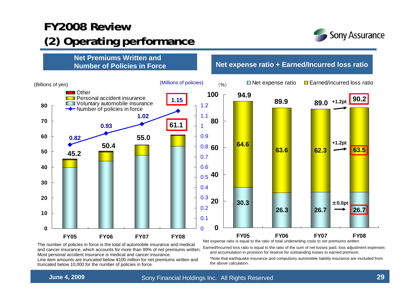### **FY2008 Review FY2008 Review (2) Operating performance (2) Operating performance**





The number of policies in force is the total of automobile insurance and medical and cancer insurance, which accounts for more than 99% of net premiums written. Most personal accident insurance is medical and cancer insurance.

Line item amounts are truncated below ¥100 million for net premiums written and truncated below 10,000 for the number of policies in force.

Net expense ratio is equal to the ratio of total underwriting costs to net premiums written.

Earned/Incurred loss ratio is equal to the ratio of the sum of net losses paid, loss adjustment expenses and accumulation in provision for reserve for outstanding losses to earned premium.

\*Note that earthquake insurance and compulsory automobile liability insurance are excluded from the above calculation.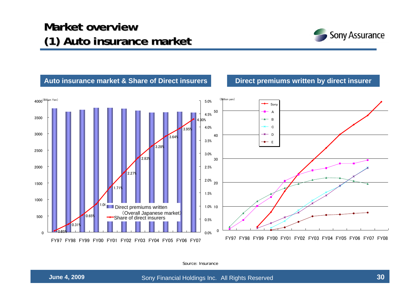### **Market overview Market overview(1) Auto insurance market (1) Auto insurance market**





Source: Insurance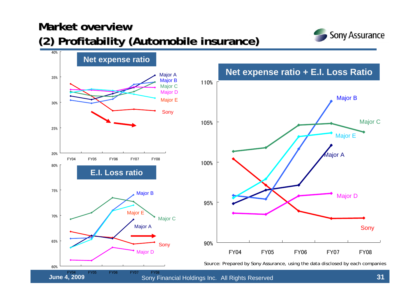### **Market overview Market overview(2) Profitability (Automobile insurance) (2) Profitability (Automobile insurance)**



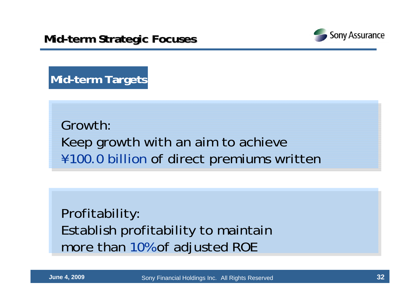

**Mid-term Targets**

Growth:Keep growth with an aim to achieve ¥100.0 billion of direct premiums written

Profitability: Establish profitability to maintain more than 10% of adjusted ROE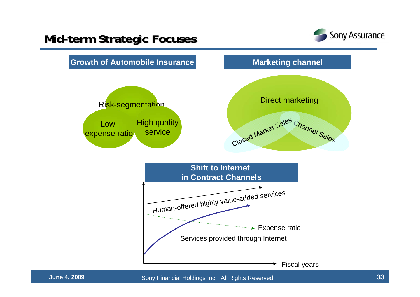### **Mid-term Strategic Focuses erm Strategic Focuses**



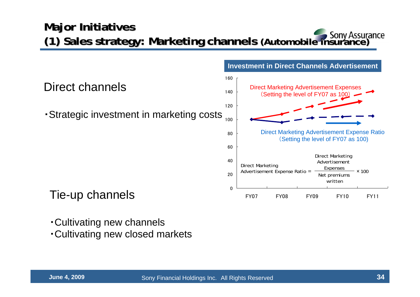### **Major Initiatives (1) Sales strategy: Marketing channels (1) Sales strategy: Marketing channels (Automobile insurance) (Automobile insurance)**

**Investment in Direct Channels Advertisement**

0 20 40 60 80100120 140 160 FY07 FY08 FY09 FY10 FY11 Direct channels・Strategic investment in marketing costs Direct Marketing Advertisement Expenses (Setting the level of FY07 as 100) Direct Marketing Advertisement Expense Ratio (Setting the level of FY07 as 100) Direct Marketing Advertisement Expense Ratio  $=$   $\frac{1}{2}$   $\frac{1}{2}$   $\frac{1}{2}$   $\times$  100 Direct Marketing Advertisement Expenses Net premiums written

Tie-up channels

- ・Cultivating new channels
- ・Cultivating new closed markets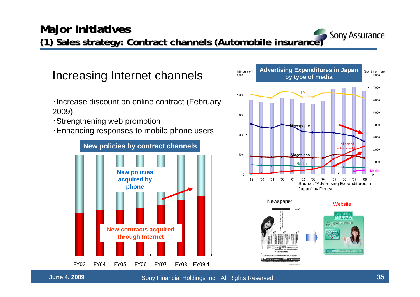

自動車保険 ソニー損保なら、保険料は

Increasing Internet channels

- ・Increase discount on online contract (February 2009)
- ・Strengthening web promotion
- ・Enhancing responses to mobile phone users





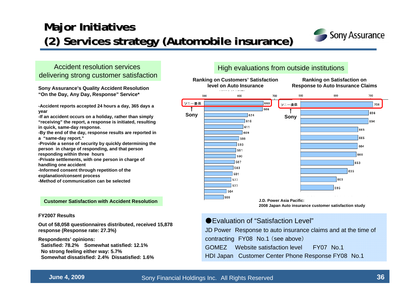### **Major Initiatives (2) Services strategy (Automobile insurance) (2) Services strategy (Automobile insurance)**



### Accident resolution services delivering strong customer satisfaction

**Sony Assurance's Quality Accident Resolution "On the Day, Any Day, Response" Service\***

**-Accident reports accepted 24 hours a day, 365 days a year**

**-If an accident occurs on a holiday, rather than simply "receiving" the report, a response is initiated, resulting in quick, same-day response.**

**-By the end of the day, response results are reported in <sup>a</sup>"same-day report."**

**-Provide a sense of security by quickly determining the person in charge of responding, and that person** 

**responding within three hours** 

**-Private settlements, with one person in charge of handling one accident**

**-Informed consent through repetition of the explanation/consent process**

**-Method of communication can be selected**

#### **Customer Satisfaction with Accident Resolution**

#### **FY2007 Results**

**Out of 58,058 questionnaires distributed, received 15,878 response (Response rate: 27.3%)**

**Respondents' opinions: Satisfied: 78.2% Somewhat satisfied: 12.1%No strong feeling either way: 5.7% Somewhat dissatisfied: 2.4% Dissatisfied: 1.6%**

### High evaluations from outside institutions



●Evaluation of "Satisfaction Level"

JD Power Response to auto insurance claims and at the time of

contracting FY08 No.1 (see above)

- GOMEZ Website satisfaction level FY07 No.1
- HDI Japan Customer Center Phone Response FY08 No.1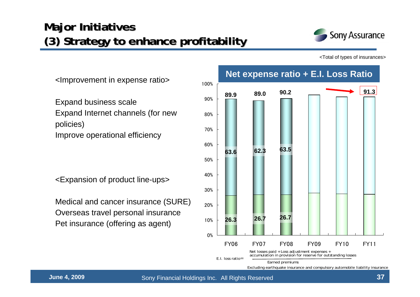### **Major Initiatives (3) Strategy to enhance profitability ) Strategy to enhance profitability**



<Total of types of insurances>

0%10%20%30%40%50%60%70%80%90%100%FY06 FY07 FY08 FY09 FY10 FY11 **89.0 90.2 89.962.3 63.5 63.626.7 26.7 26.3**Net losses paid + Loss adjustment expenses +<br>accumulation in provision for reserve for outstanding losses<br>E.I. loss ratio= Earned premiums Excluding earthquake insurance and compulsory automobile liability insurance **91.3 Net expense ratio + E.I. Loss Ratio**

<Improvement in expense ratio>

Expand business scale Expand Internet channels (for new policies) Improve operational efficiency

<Expansion of product line-ups>

Medical and cancer insurance (SURE) Overseas travel personal insurance Pet insurance (offering as agent)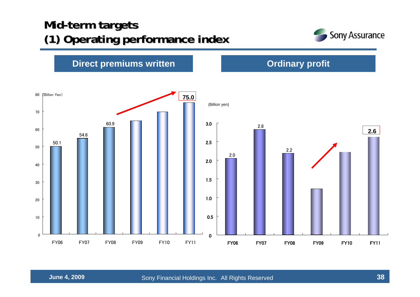### **Mid-term targets (1) Operati (1) Operating performance index performance index**



**Direct premiums written Direct premiums written Direct profit** 

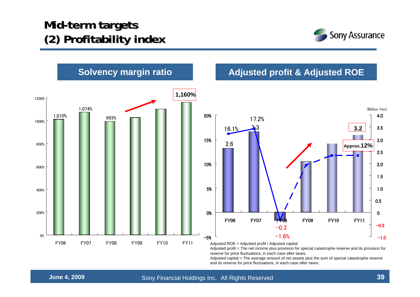### **Mid-term targets (2) Profitability index (2) Profitability index**





Adjusted profit = The net income plus provision for special catastrophe reserve and its provision for reserve for price fluctuations, in each case after taxes.

Adjusted capital = The average amount of net assets plus the sum of special catastrophe reserve and its reserve for price fluctuations, in each case after taxes.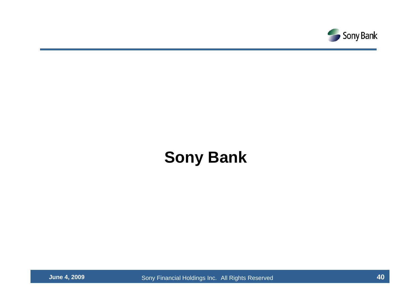

# **Sony Bank**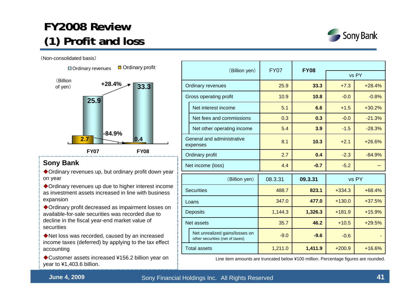### **FY2008 Review FY2008 Review (1) Profit and loss (1) Profit and loss**

(Non-consolidated basis)



### **Sony Bank**

Ordinary revenues up, but ordinary profit down year on year

Ordinary revenues up due to higher interest income as investment assets increased in line with business expansion

Ordinary profit decreased as impairment losses on available-for-sale securities was recorded due to decline in the fiscal year-end market value of securities

Net loss was recorded, caused by an increased income taxes (deferred) by applying to the tax effect accounting

◆ Customer assets increased ¥156.2 billion year on year to ¥1,403.6 billion.

|                                        |                                                                   | <b>FY07</b> | <b>FY08</b> |          |          |  |
|----------------------------------------|-------------------------------------------------------------------|-------------|-------------|----------|----------|--|
| (Billion yen)                          |                                                                   |             |             | vs PY    |          |  |
| Ordinary revenues                      |                                                                   | 25.9        | 33.3        | $+7.3$   | $+28.4%$ |  |
| Gross operating profit                 |                                                                   | 10.9        | 10.8        | $-0.0$   | $-0.8%$  |  |
|                                        | Net interest income                                               | 5.1         | 6.6         | $+1.5$   | $+30.2%$ |  |
|                                        | Net fees and commissions                                          | 0.3         | 0.3         | $-0.0$   | $-21.3%$ |  |
|                                        | Net other operating income                                        | 5.4         | 3.9         | $-1.5$   | $-28.3%$ |  |
| General and administrative<br>expenses |                                                                   | 8.1         | 10.3        | $+2.1$   | $+26.6%$ |  |
| Ordinary profit                        |                                                                   | 2.7         | 0.4         | $-2.3$   | $-84.9%$ |  |
| Net income (loss)                      |                                                                   | 4.4         | $-0.7$      | $-5.2$   |          |  |
| (Billion yen)                          |                                                                   | 08.3.31     | 09.3.31     | vs PY    |          |  |
| <b>Securities</b>                      |                                                                   | 488.7       | 823.1       | $+334.3$ | $+68.4%$ |  |
| Loans                                  |                                                                   | 347.0       | 477.0       | $+130.0$ | $+37.5%$ |  |
| <b>Deposits</b>                        |                                                                   | 1,144.3     | 1,326.3     | $+181.9$ | $+15.9%$ |  |
| Net assets                             |                                                                   | 35.7        | 46.2        | $+10.5$  | $+29.5%$ |  |
|                                        | Net unrealized gains/losses on<br>other securities (net of taxes) | $-9.0$      | $-9.6$      |          |          |  |
| <b>Total assets</b>                    |                                                                   | 1,211.0     | 1,411.9     | $+200.9$ | $+16.6%$ |  |



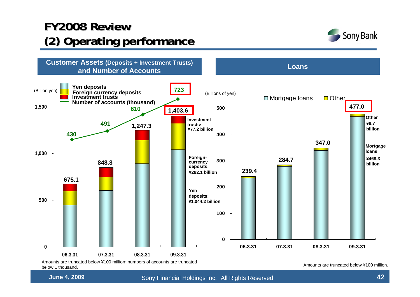### **FY2008 Review FY2008 Review (2) Operating performance (2) Operating performance**





below 1 thousand.

**June 4, 2009** Sony Financial Holdings Inc. All Rights Reserved **12** All **42**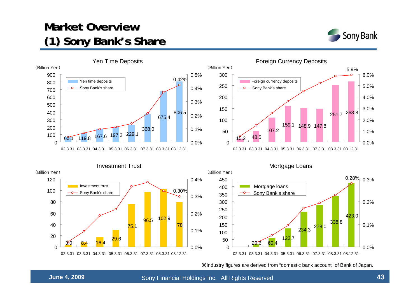### **Market Overview (1) Sony Bank (1) Sony Bank's Share s Share**









※Industry figures are derived from "domestic bank account" of Bank of Japan.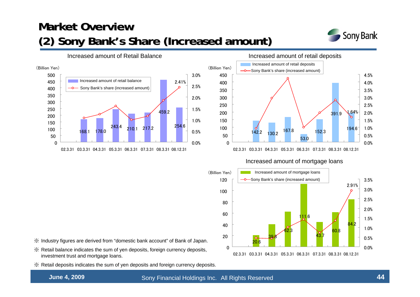### **Market Overview (2) Sony Bank's Share (Increased amount)**







#### Increased amount of mortgage loans



- ※ Industry figures are derived from "domestic bank account" of Bank of Japan.
- ※ Retail balance indicates the sum of yen deposits, foreign currency deposits, investment trust and mortgage loans.
- ※ Retail deposits indicates the sum of yen deposits and foreign currency deposits.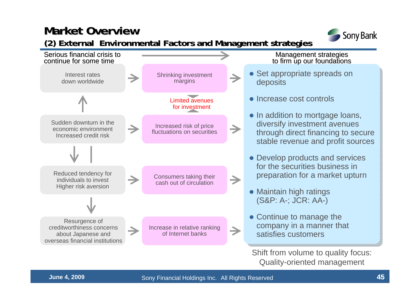### **Market Overview Market Overview**



### **(2) External Environmental Factors and Management 2) External Environmental Factors and strategies strategies**

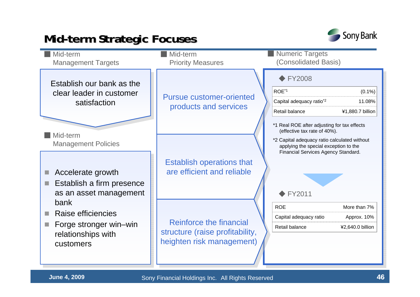### **Mid-term Strategic Focuses erm Strategic Focuses**



| Mid-term<br><b>Management Targets</b>        | Mid-term<br><b>Priority Measures</b>                     | <b>Numeric Targets</b><br>(Consolidated Basis)                                                                               |
|----------------------------------------------|----------------------------------------------------------|------------------------------------------------------------------------------------------------------------------------------|
| Establish our bank as the                    |                                                          | $\blacktriangleright$ FY2008                                                                                                 |
| clear leader in customer                     | <b>Pursue customer-oriented</b><br>products and services | ROE <sup>*1</sup><br>$(0.1\%)$                                                                                               |
| satisfaction                                 |                                                          | Capital adequacy ratio <sup>*2</sup><br>11.08%                                                                               |
|                                              |                                                          | Retail balance<br>¥1,880.7 billion                                                                                           |
| Mid-term                                     |                                                          | *1 Real ROE after adjusting for tax effects<br>(effective tax rate of 40%).                                                  |
| <b>Management Policies</b>                   |                                                          | *2 Capital adequacy ratio calculated without<br>applying the special exception to the<br>Financial Services Agency Standard. |
|                                              | <b>Establish operations that</b>                         |                                                                                                                              |
| Accelerate growth                            | are efficient and reliable                               |                                                                                                                              |
| Establish a firm presence<br>a a             |                                                          |                                                                                                                              |
| as an asset management                       |                                                          | $\blacktriangleright$ FY2011                                                                                                 |
| bank                                         |                                                          | <b>ROE</b><br>More than 7%                                                                                                   |
| Raise efficiencies                           | Reinforce the financial                                  | Capital adequacy ratio<br>Approx. 10%                                                                                        |
| Forge stronger win-win<br>relationships with | structure (raise profitability,                          | Retail balance<br>¥2,640.0 billion                                                                                           |
| customers                                    | heighten risk management)                                |                                                                                                                              |
|                                              |                                                          |                                                                                                                              |
|                                              |                                                          |                                                                                                                              |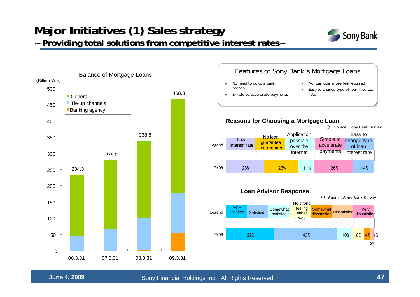### **Major Initiatives (1) Sales strategy ~ Providing total solutions from competitive interest rates~ ~ Providing total solutions from competitive interest rates~**





#### Features of Sony Bank's Mortgage Loans

No loan guarantee fee required

Simple to accelerate

 Easy to change type of loan interest rate

payments interest rate

#### ※ Source: Sony Bank Survey

Easy to change type of loan

※ Source: Sony Bank Survey

Very<br>Dissatisfied <sub>dissatisfied</sub>

2%

 $4\%$  1%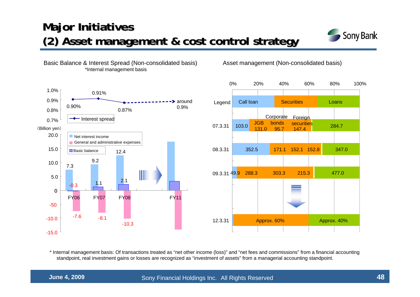### **Major Initiatives (2) Asset management & cost control strategy Asset management & cost control strategy**



#### Basic Balance & Interest Spread (Non-consolidated basis) \*Internal management basis

Asset management (Non-consolidated basis)



\* Internal management basis: Of transactions treated as "net other income (loss)" and "net fees and commissions" from a financial accounting standpoint, real investment gains or losses are recognized as "investment of assets" from a managerial accounting standpoint.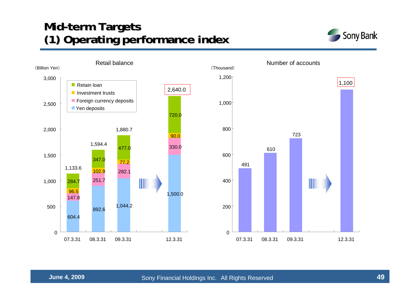### **Mid-term Targets (1) Operating performance (1) Operating performance index**



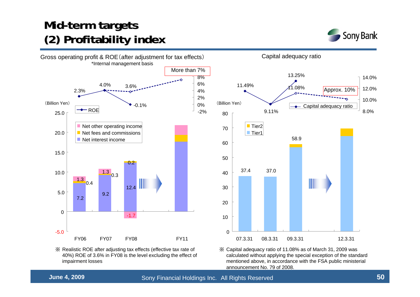### **Mid-term targets (2) Profitability index (2) Profitability index**





40%) ROE of 3.6% in FY08 is the level excluding the effect of ※ Capital adequacy ratio of 11.08% as of March 31, 2009 was calculated without applying the special exception of the standard mentioned above, in accordance with the FSA public ministerial announcement No. 79 of 2008.

impairment losses

※ Realistic ROE after adjusting tax effects (effective tax rate of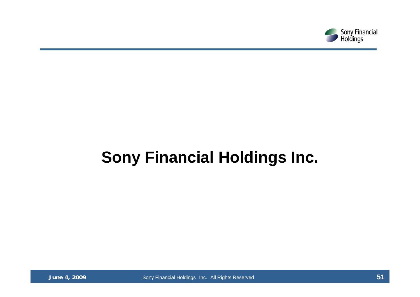

# **Sony Financial Holdings Inc.**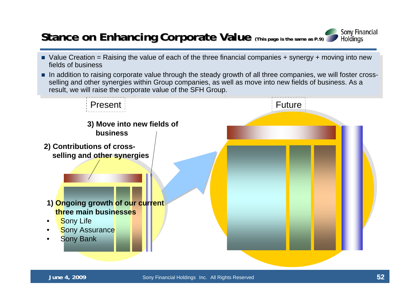### **Stance on Enhancing Corporate Value** (This page is the same as P.9)

- Value Creation = Raising the value of each of the three financial companies + synergy + moving into new fields of business
- In addition to raising corporate value through the steady growth of all three companies, we will foster cross-<br>  $\blacksquare$ selling and other synergies within Group companies, as well as move into new fields of business. As a selling and other synergies within Group companies, as well as move into new fields of business. As a result, we will raise the corporate value of the SFH Group. result, we will raise the corporate value of the SFH Group.



**Sony Financial** Holdings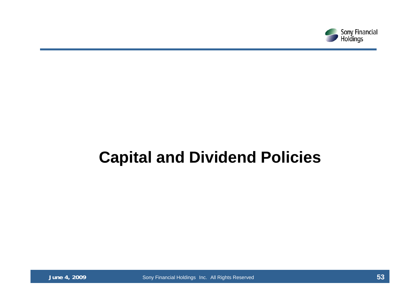

# **Capital and Dividend Policies**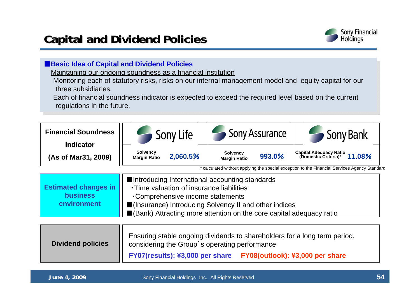

### ■**Basic Idea of Capital and Dividend Policies**

Maintaining our ongoing soundness as a financial institution

Monitoring each of statutory risks, risks on our internal management model and equity capital for our three subsidiaries.

Each of financial soundness indicator is expected to exceed the required level based on the current regulations in the future.

| <b>Financial Soundness</b><br><b>Indicator</b>                                                                                                                                                                               | Sony Life                                                                                                                                                                                                                                                          | <b>Sony Assurance</b>                            | Sony Bank                                                |  |  |  |
|------------------------------------------------------------------------------------------------------------------------------------------------------------------------------------------------------------------------------|--------------------------------------------------------------------------------------------------------------------------------------------------------------------------------------------------------------------------------------------------------------------|--------------------------------------------------|----------------------------------------------------------|--|--|--|
| (As of Mar31, 2009)                                                                                                                                                                                                          | Solvency<br>2,060.5%<br><b>Margin Ratio</b>                                                                                                                                                                                                                        | <b>Solvency</b><br>993.0%<br><b>Margin Ratio</b> | Capital Adequacy Ratio<br>(Domestic Criteria)*<br>11.08% |  |  |  |
| * calculated without applying the special exception to the Financial Services Agency Standard                                                                                                                                |                                                                                                                                                                                                                                                                    |                                                  |                                                          |  |  |  |
| <b>Estimated changes in</b><br><b>business</b><br>environment                                                                                                                                                                | ■Introducing International accounting standards<br>. Time valuation of insurance liabilities<br>•Comprehensive income statements<br>■(Insurance) Introducing Solvency II and other indices<br>■(Bank) Attracting more attention on the core capital adequacy ratio |                                                  |                                                          |  |  |  |
| Ensuring stable ongoing dividends to shareholders for a long term period,<br><b>Dividend policies</b><br>considering the Group's operating performance<br>FY07(results): ¥3,000 per share<br>FY08(outlook): ¥3,000 per share |                                                                                                                                                                                                                                                                    |                                                  |                                                          |  |  |  |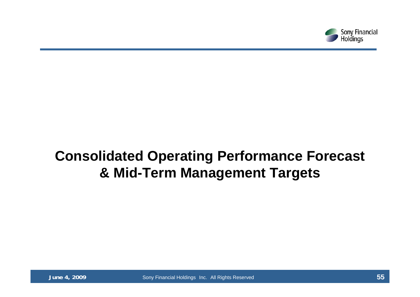

## **Consolidated Operating Performance Forecast & Mid-Term Management Targets**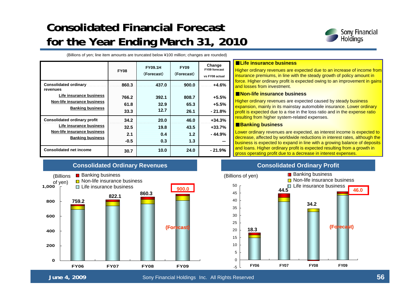### **Consolidated Financial Forecast Consolidated Financial Forecast for the Year Ending March 31, 2010 for the Year Ending March 31, 2010**



46.0

**(Forecast Forecast)**

(Billions of yen; line item amounts are truncated below ¥100 million; changes are rounded)

|                                                                                                                          | <b>FY08</b>                   | <b>FY09.1H</b><br>(Forecast) | <b>FY09</b><br>(Forecast)  | Change<br>FY09 forecast<br>vs FY08 actual |
|--------------------------------------------------------------------------------------------------------------------------|-------------------------------|------------------------------|----------------------------|-------------------------------------------|
| <b>Consolidated ordinary</b><br>revenues                                                                                 | 860.3                         | 437.0                        | 900.0                      | $+4.6%$                                   |
| Life insurance business<br>Non-life insurance business<br><b>Banking business</b>                                        | 766.2<br>61.8<br>33.3         | 392.1<br>32.9<br>12.7        | 808.7<br>65.3<br>26.1      | $+5.5%$<br>$+5.5%$<br>$-21.8%$            |
| <b>Consolidated ordinary profit</b><br>Life insurance business<br>Non-life insurance business<br><b>Banking business</b> | 34.2<br>32.5<br>2.1<br>$-0.5$ | 20.0<br>19.8<br>0.4<br>0.3   | 46.0<br>43.5<br>1.2<br>1.3 | $+34.3%$<br>$+33.7%$<br>- 44.9%           |
| <b>Consolidated net income</b>                                                                                           | 30.7                          | 10.0                         | 24.0                       | - 21.9%                                   |

#### ■**Life insurance business**

Higher ordinary revenues are expected due to an increase of income from insurance premiums, in line with the steady growth of policy amount in force. Higher ordinary profit is expected owing to an improvement in gains and losses from investment.

#### ■**Non-life insurance business**

Higher ordinary revenues are expected caused by steady business expansion, mainly in its mainstay automobile insurance. Lower ordinary profit is expected due to a rise in the loss ratio and in the expense ratio resulting from higher system-related expenses.

#### ■**Banking business**

Lower ordinary revenues are expected, as interest income is expected to decrease, affected by worldwide reductions in interest rates, although the business is expected to expand in line with a growing balance of deposits and loans. Higher ordinary profit is expected resulting from a growth in gross operating profit due to a decrease in interest expenses.

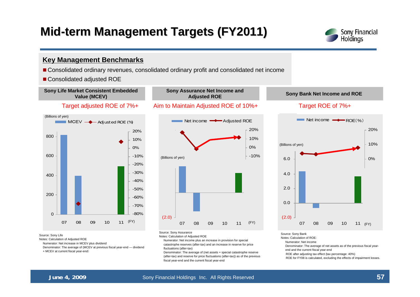### **Mid-term Management Targets (FY2011)**



#### **Key Management Benchmarks**

- Consolidated ordinary revenues, consolidated ordinary profit and consolidated net income
- Consolidated adjusted ROE



Source: Sony Life

Notes: Calculation of Adjusted ROE

Numerator: Net increase in MCEV plus dividend

Denominator: The average of (MCEV at previous fiscal year-end — dividend + MCEV at current fiscal year-end)

Notes: Calculation of Adjusted ROE

Numerator: Net income plus an increase in provision for special catastrophe reserves (after-tax) and an increase in reserve for price fluctuations (after-tax)

Denominator: The average of (net assets + special catastrophe reserve (after-tax) and reserve for price fluctuations (after-tax)) as of the previous fiscal year-end and the current fiscal year-end





Source: Sony Bank

Notes:Calculation of ROE:

Numerator: Net income

Denominator: The average of net assets as of the previous fiscal yearend and the current fiscal year-end

ROE after adjusting tax effect (tax percentage: 40%)

ROE for FY08 is calculated, excluding the effects of impairment losses.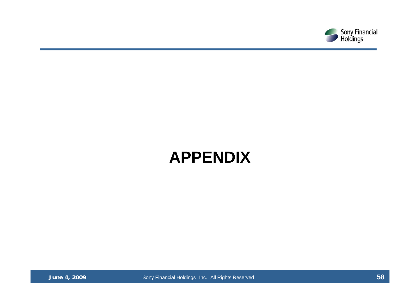

# **APPENDIX**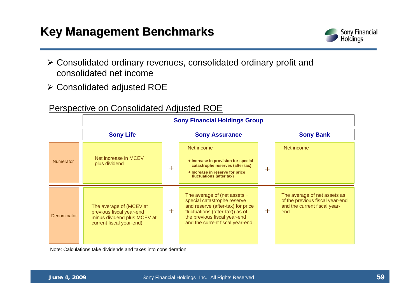### **Key Management Benchmarks Key Management Benchmarks**



- ¾ Consolidated ordinary revenues, consolidated ordinary profit and consolidated net income
- ¾ Consolidated adjusted ROE

### Perspective on Consolidated Adjusted ROE

|                    | <b>Sony Financial Holdings Group</b>                                                                           |       |                                                                                                                                                                                                          |     |                                                                                                        |  |
|--------------------|----------------------------------------------------------------------------------------------------------------|-------|----------------------------------------------------------------------------------------------------------------------------------------------------------------------------------------------------------|-----|--------------------------------------------------------------------------------------------------------|--|
| <b>Sony Life</b>   |                                                                                                                |       | <b>Sony Assurance</b>                                                                                                                                                                                    |     | <b>Sony Bank</b>                                                                                       |  |
| <b>Numerator</b>   | Net increase in MCEV<br>plus dividend                                                                          | $+$   | Net income<br>+ Increase in provision for special<br>catastrophe reserves (after tax)<br>+ Increase in reserve for price<br>fluctuations (after tax)                                                     | $+$ | Net income                                                                                             |  |
| <b>Denominator</b> | The average of (MCEV at<br>previous fiscal year-end<br>minus dividend plus MCEV at<br>current fiscal year-end) | $\pm$ | The average of (net assets $+$<br>special catastrophe reserve<br>and reserve (after-tax) for price<br>fluctuations (after-tax)) as of<br>the previous fiscal year-end<br>and the current fiscal year-end | $+$ | The average of net assets as<br>of the previous fiscal year-end<br>and the current fiscal year-<br>end |  |

Note: Calculations take dividends and taxes into consideration.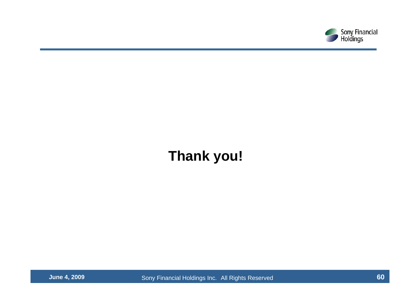

## **Thank you!**